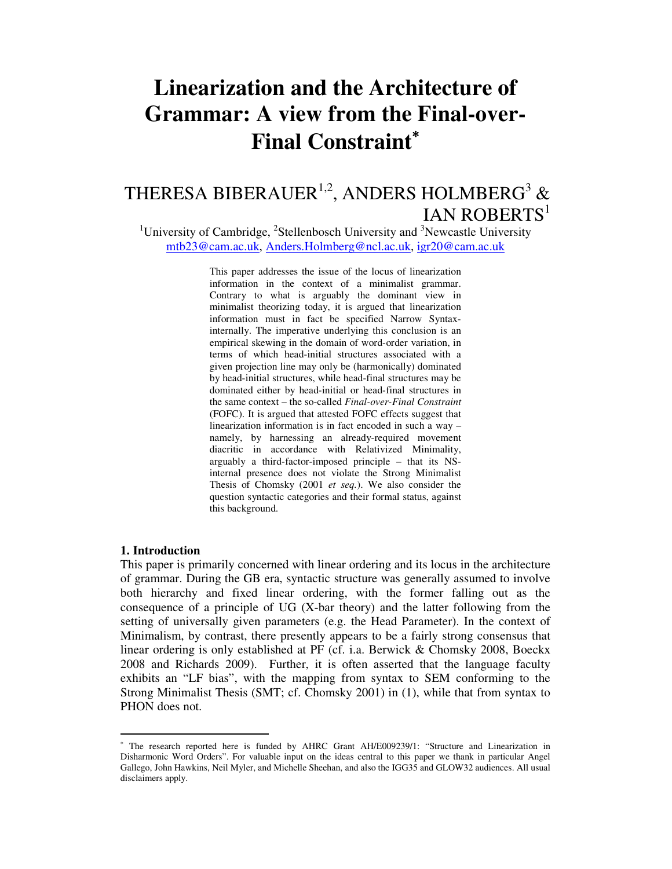# **Linearization and the Architecture of Grammar: A view from the Final-over-Final Constraint**<sup>∗</sup>

# THERESA BIBERAUER<sup>1,2</sup>, ANDERS HOLMBERG<sup>3</sup> &  $IAN ROBERTS<sup>1</sup>$

<sup>1</sup>University of Cambridge,  ${}^{2}$ Stellenbosch University and  ${}^{3}$ Newcastle University mtb23@cam.ac.uk, Anders.Holmberg@ncl.ac.uk, igr20@cam.ac.uk

> This paper addresses the issue of the locus of linearization information in the context of a minimalist grammar. Contrary to what is arguably the dominant view in minimalist theorizing today, it is argued that linearization information must in fact be specified Narrow Syntaxinternally. The imperative underlying this conclusion is an empirical skewing in the domain of word-order variation, in terms of which head-initial structures associated with a given projection line may only be (harmonically) dominated by head-initial structures, while head-final structures may be dominated either by head-initial or head-final structures in the same context – the so-called *Final-over-Final Constraint* (FOFC). It is argued that attested FOFC effects suggest that linearization information is in fact encoded in such a way – namely, by harnessing an already-required movement diacritic in accordance with Relativized Minimality, arguably a third-factor-imposed principle – that its NSinternal presence does not violate the Strong Minimalist Thesis of Chomsky (2001 *et seq.*). We also consider the question syntactic categories and their formal status, against this background.

#### **1. Introduction**

-

This paper is primarily concerned with linear ordering and its locus in the architecture of grammar. During the GB era, syntactic structure was generally assumed to involve both hierarchy and fixed linear ordering, with the former falling out as the consequence of a principle of UG (X-bar theory) and the latter following from the setting of universally given parameters (e.g. the Head Parameter). In the context of Minimalism, by contrast, there presently appears to be a fairly strong consensus that linear ordering is only established at PF (cf. i.a. Berwick & Chomsky 2008, Boeckx 2008 and Richards 2009). Further, it is often asserted that the language faculty exhibits an "LF bias", with the mapping from syntax to SEM conforming to the Strong Minimalist Thesis (SMT; cf. Chomsky 2001) in (1), while that from syntax to PHON does not.

<sup>∗</sup> The research reported here is funded by AHRC Grant AH/E009239/1: "Structure and Linearization in Disharmonic Word Orders". For valuable input on the ideas central to this paper we thank in particular Angel Gallego, John Hawkins, Neil Myler, and Michelle Sheehan, and also the IGG35 and GLOW32 audiences. All usual disclaimers apply.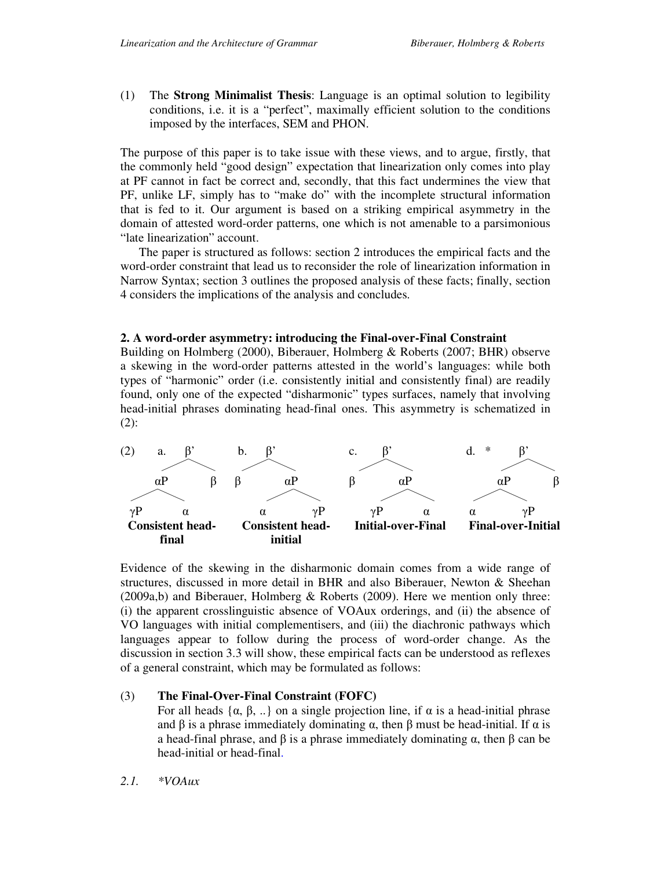(1) The **Strong Minimalist Thesis**: Language is an optimal solution to legibility conditions, i.e. it is a "perfect", maximally efficient solution to the conditions imposed by the interfaces, SEM and PHON.

The purpose of this paper is to take issue with these views, and to argue, firstly, that the commonly held "good design" expectation that linearization only comes into play at PF cannot in fact be correct and, secondly, that this fact undermines the view that PF, unlike LF, simply has to "make do" with the incomplete structural information that is fed to it. Our argument is based on a striking empirical asymmetry in the domain of attested word-order patterns, one which is not amenable to a parsimonious "late linearization" account.

 The paper is structured as follows: section 2 introduces the empirical facts and the word-order constraint that lead us to reconsider the role of linearization information in Narrow Syntax; section 3 outlines the proposed analysis of these facts; finally, section 4 considers the implications of the analysis and concludes.

# **2. A word-order asymmetry: introducing the Final-over-Final Constraint**

Building on Holmberg (2000), Biberauer, Holmberg & Roberts (2007; BHR) observe a skewing in the word-order patterns attested in the world's languages: while both types of "harmonic" order (i.e. consistently initial and consistently final) are readily found, only one of the expected "disharmonic" types surfaces, namely that involving head-initial phrases dominating head-final ones. This asymmetry is schematized in (2):



Evidence of the skewing in the disharmonic domain comes from a wide range of structures, discussed in more detail in BHR and also Biberauer, Newton & Sheehan (2009a,b) and Biberauer, Holmberg & Roberts (2009). Here we mention only three: (i) the apparent crosslinguistic absence of VOAux orderings, and (ii) the absence of VO languages with initial complementisers, and (iii) the diachronic pathways which languages appear to follow during the process of word-order change. As the discussion in section 3.3 will show, these empirical facts can be understood as reflexes of a general constraint, which may be formulated as follows:

# (3) **The Final-Over-Final Constraint (FOFC)**

For all heads  $\{\alpha, \beta, ...\}$  on a single projection line, if  $\alpha$  is a head-initial phrase and  $\beta$  is a phrase immediately dominating  $\alpha$ , then  $\beta$  must be head-initial. If  $\alpha$  is a head-final phrase, and β is a phrase immediately dominating α, then β can be head-initial or head-final.

*2.1. \*VOAux*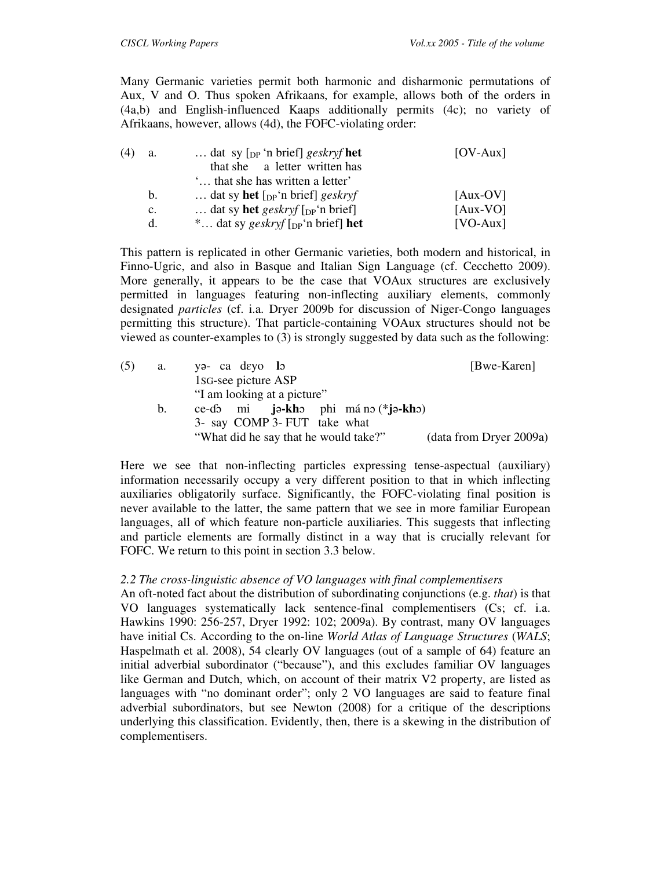Many Germanic varieties permit both harmonic and disharmonic permutations of Aux, V and O. Thus spoken Afrikaans, for example, allows both of the orders in (4a,b) and English-influenced Kaaps additionally permits (4c); no variety of Afrikaans, however, allows (4d), the FOFC-violating order:

| (4) | a.             | dat sy $\lceil_{DP}$ 'n brief] geskryf het                | $[OV-Aux]$ |
|-----|----------------|-----------------------------------------------------------|------------|
|     |                | that she a letter written has                             |            |
|     |                | that she has written a letter'                            |            |
|     | b.             | dat sy <b>het</b> $\lceil_{DP}$ 'n brief $\rceil$ geskryf | $[Aux-OV]$ |
|     | $\mathbf{c}$ . | dat sy <b>het</b> geskryf $\lceil_{DP}$ 'n brief          | $[Aux-VO]$ |
|     | d.             | * dat sy geskryf $[$ <sub>DP</sub> 'n brief] <b>het</b>   | $[VO-Aux]$ |

This pattern is replicated in other Germanic varieties, both modern and historical, in Finno-Ugric, and also in Basque and Italian Sign Language (cf. Cecchetto 2009). More generally, it appears to be the case that VOAux structures are exclusively permitted in languages featuring non-inflecting auxiliary elements, commonly designated *particles* (cf. i.a. Dryer 2009b for discussion of Niger-Congo languages permitting this structure). That particle-containing VOAux structures should not be viewed as counter-examples to (3) is strongly suggested by data such as the following:

| (5) | a.      | $y_9 - ca \text{ deyo}$ lo             | [Bwe-Karen]             |
|-----|---------|----------------------------------------|-------------------------|
|     |         | 1s <sub>G</sub> -see picture ASP       |                         |
|     |         | "I am looking at a picture"            |                         |
|     | $b_{1}$ | ce-do mi ja-kho phi má no $(*$ ja-kho) |                         |
|     |         | 3- say COMP 3- FUT take what           |                         |
|     |         | "What did he say that he would take?"  | (data from Dryer 2009a) |

Here we see that non-inflecting particles expressing tense-aspectual (auxiliary) information necessarily occupy a very different position to that in which inflecting auxiliaries obligatorily surface. Significantly, the FOFC-violating final position is never available to the latter, the same pattern that we see in more familiar European languages, all of which feature non-particle auxiliaries. This suggests that inflecting and particle elements are formally distinct in a way that is crucially relevant for FOFC. We return to this point in section 3.3 below.

# *2.2 The cross-linguistic absence of VO languages with final complementisers*

An oft-noted fact about the distribution of subordinating conjunctions (e.g. *that*) is that VO languages systematically lack sentence-final complementisers (Cs; cf. i.a. Hawkins 1990: 256-257, Dryer 1992: 102; 2009a). By contrast, many OV languages have initial Cs. According to the on-line *World Atlas of Language Structures* (*WALS*; Haspelmath et al. 2008), 54 clearly OV languages (out of a sample of 64) feature an initial adverbial subordinator ("because"), and this excludes familiar OV languages like German and Dutch, which, on account of their matrix V2 property, are listed as languages with "no dominant order"; only 2 VO languages are said to feature final adverbial subordinators, but see Newton (2008) for a critique of the descriptions underlying this classification. Evidently, then, there is a skewing in the distribution of complementisers.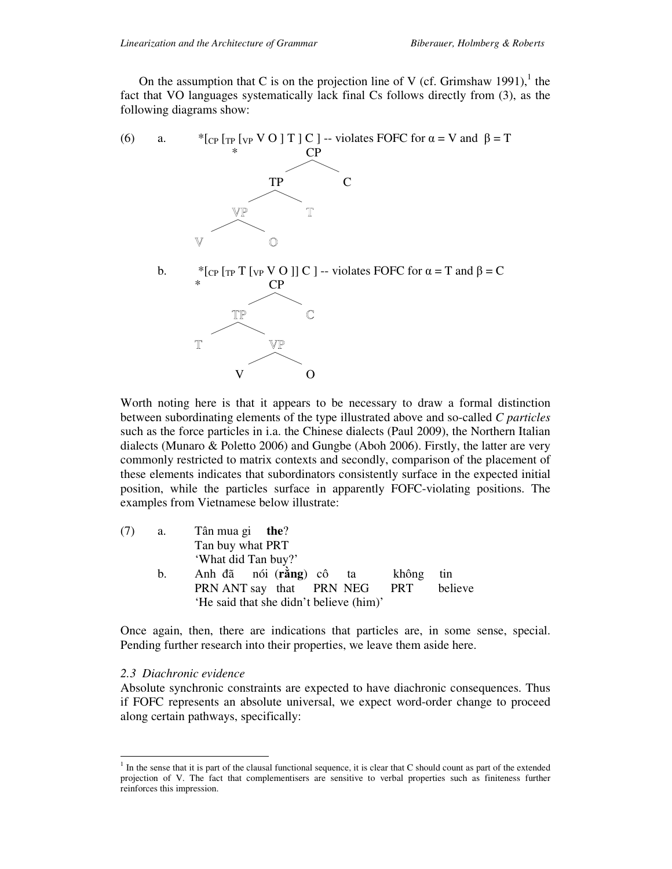On the assumption that C is on the projection line of V (cf. Grimshaw 1991),<sup>1</sup> the fact that VO languages systematically lack final Cs follows directly from (3), as the following diagrams show:



Worth noting here is that it appears to be necessary to draw a formal distinction between subordinating elements of the type illustrated above and so-called *C particles* such as the force particles in i.a. the Chinese dialects (Paul 2009), the Northern Italian dialects (Munaro & Poletto 2006) and Gungbe (Aboh 2006). Firstly, the latter are very commonly restricted to matrix contexts and secondly, comparison of the placement of these elements indicates that subordinators consistently surface in the expected initial position, while the particles surface in apparently FOFC-violating positions. The examples from Vietnamese below illustrate:

| (7) | a. | Tân mua gi <b>the</b> ?                    |
|-----|----|--------------------------------------------|
|     |    | Tan buy what PRT                           |
|     |    | 'What did Tan buy?'                        |
|     | b. | Anh đã nói (rằng) cô ta<br>không<br>tin    |
|     |    | believe<br>PRN ANT say that PRN NEG<br>PRT |
|     |    | 'He said that she didn't believe (him)'    |

Once again, then, there are indications that particles are, in some sense, special. Pending further research into their properties, we leave them aside here.

### *2.3 Diachronic evidence*

Absolute synchronic constraints are expected to have diachronic consequences. Thus if FOFC represents an absolute universal, we expect word-order change to proceed along certain pathways, specifically:

<sup>&</sup>lt;sup>1</sup> In the sense that it is part of the clausal functional sequence, it is clear that C should count as part of the extended projection of V. The fact that complementisers are sensitive to verbal properties such as finiteness further reinforces this impression.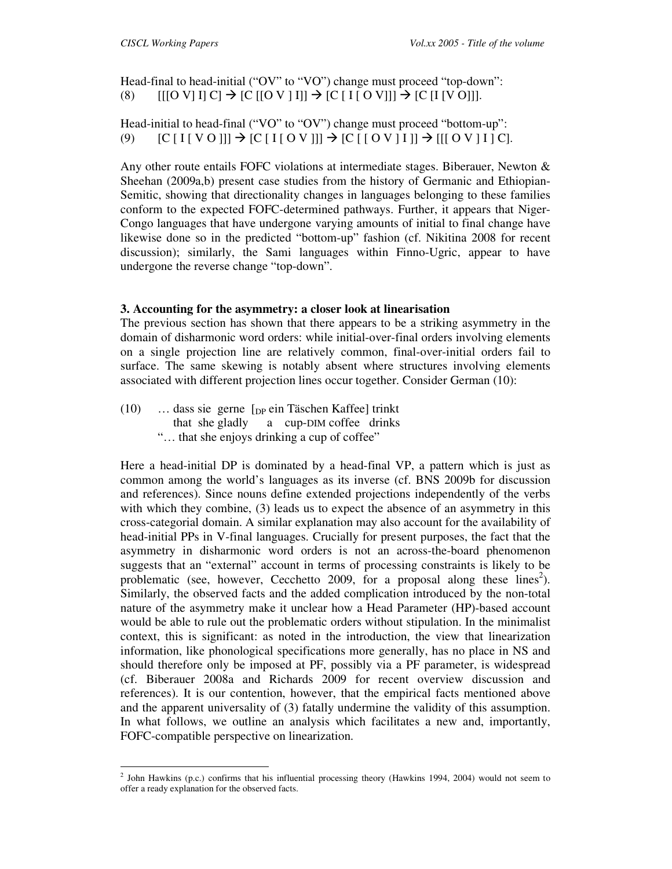Head-final to head-initial ("OV" to "VO") change must proceed "top-down": (8)  $[[[O \ V] \ I] \ C] \rightarrow [C \ [O \ V \ I]] \rightarrow [C \ [I \ [O \ V]]] \rightarrow [C \ [I \ [V \ 0]]].$ 

Head-initial to head-final ("VO" to "OV") change must proceed "bottom-up": (9)  $[C [I [ V 0 ]] ] \rightarrow [C [ I [ 0 V ] ] ] \rightarrow [C [ [ 0 V ] I ] ] \rightarrow [[ [ 0 V ] I ] C].$ 

Any other route entails FOFC violations at intermediate stages. Biberauer, Newton & Sheehan (2009a,b) present case studies from the history of Germanic and Ethiopian-Semitic, showing that directionality changes in languages belonging to these families conform to the expected FOFC-determined pathways. Further, it appears that Niger-Congo languages that have undergone varying amounts of initial to final change have likewise done so in the predicted "bottom-up" fashion (cf. Nikitina 2008 for recent discussion); similarly, the Sami languages within Finno-Ugric, appear to have undergone the reverse change "top-down".

# **3. Accounting for the asymmetry: a closer look at linearisation**

The previous section has shown that there appears to be a striking asymmetry in the domain of disharmonic word orders: while initial-over-final orders involving elements on a single projection line are relatively common, final-over-initial orders fail to surface. The same skewing is notably absent where structures involving elements associated with different projection lines occur together. Consider German (10):

 $(10)$  … dass sie gerne  $\lceil_{DP}$  ein Täschen Kaffee] trinkt that she gladly a cup-DIM coffee drinks "… that she enjoys drinking a cup of coffee"

Here a head-initial DP is dominated by a head-final VP, a pattern which is just as common among the world's languages as its inverse (cf. BNS 2009b for discussion and references). Since nouns define extended projections independently of the verbs with which they combine, (3) leads us to expect the absence of an asymmetry in this cross-categorial domain. A similar explanation may also account for the availability of head-initial PPs in V-final languages. Crucially for present purposes, the fact that the asymmetry in disharmonic word orders is not an across-the-board phenomenon suggests that an "external" account in terms of processing constraints is likely to be problematic (see, however, Cecchetto 2009, for a proposal along these  $lines^2$ ). Similarly, the observed facts and the added complication introduced by the non-total nature of the asymmetry make it unclear how a Head Parameter (HP)-based account would be able to rule out the problematic orders without stipulation. In the minimalist context, this is significant: as noted in the introduction, the view that linearization information, like phonological specifications more generally, has no place in NS and should therefore only be imposed at PF, possibly via a PF parameter, is widespread (cf. Biberauer 2008a and Richards 2009 for recent overview discussion and references). It is our contention, however, that the empirical facts mentioned above and the apparent universality of (3) fatally undermine the validity of this assumption. In what follows, we outline an analysis which facilitates a new and, importantly, FOFC-compatible perspective on linearization.

 2 John Hawkins (p.c.) confirms that his influential processing theory (Hawkins 1994, 2004) would not seem to offer a ready explanation for the observed facts.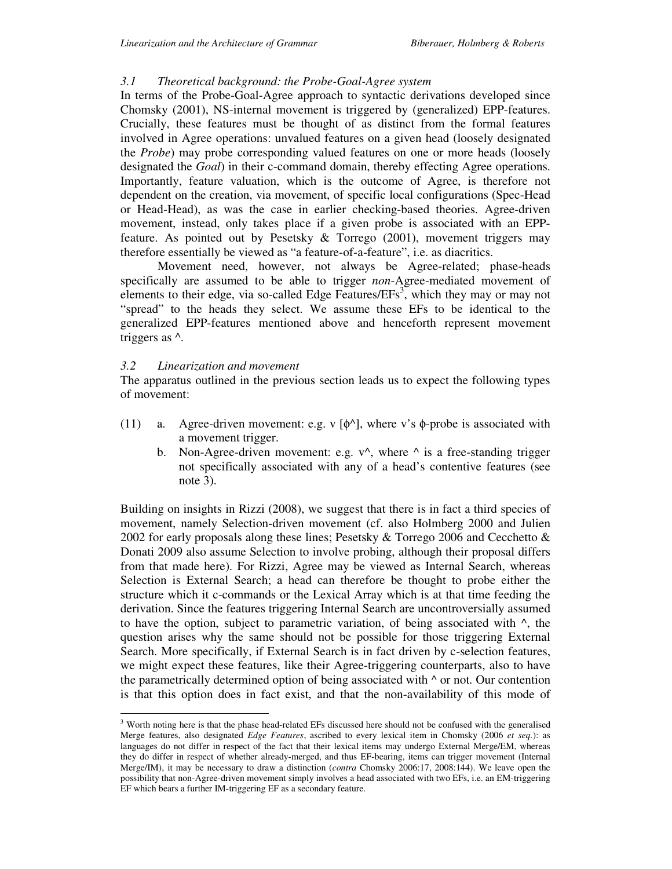#### *3.1 Theoretical background: the Probe-Goal-Agree system*

In terms of the Probe-Goal-Agree approach to syntactic derivations developed since Chomsky (2001), NS-internal movement is triggered by (generalized) EPP-features. Crucially, these features must be thought of as distinct from the formal features involved in Agree operations: unvalued features on a given head (loosely designated the *Probe*) may probe corresponding valued features on one or more heads (loosely designated the *Goal*) in their c-command domain, thereby effecting Agree operations. Importantly, feature valuation, which is the outcome of Agree, is therefore not dependent on the creation, via movement, of specific local configurations (Spec-Head or Head-Head), as was the case in earlier checking-based theories. Agree-driven movement, instead, only takes place if a given probe is associated with an EPPfeature. As pointed out by Pesetsky  $\&$  Torrego (2001), movement triggers may therefore essentially be viewed as "a feature-of-a-feature", i.e. as diacritics.

 Movement need, however, not always be Agree-related; phase-heads specifically are assumed to be able to trigger *non*-Agree-mediated movement of elements to their edge, via so-called Edge Features/ $EFs<sup>3</sup>$ , which they may or may not "spread" to the heads they select. We assume these EFs to be identical to the generalized EPP-features mentioned above and henceforth represent movement triggers as ^.

#### *3.2 Linearization and movement*

-

The apparatus outlined in the previous section leads us to expect the following types of movement:

- (11) a. Agree-driven movement: e.g. v  $[\phi^{\wedge}]$ , where v's  $\phi$ -probe is associated with a movement trigger.
	- b. Non-Agree-driven movement: e.g.  $v^{\wedge}$ , where  $^{\wedge}$  is a free-standing trigger not specifically associated with any of a head's contentive features (see note 3).

Building on insights in Rizzi (2008), we suggest that there is in fact a third species of movement, namely Selection-driven movement (cf. also Holmberg 2000 and Julien 2002 for early proposals along these lines; Pesetsky & Torrego 2006 and Cecchetto & Donati 2009 also assume Selection to involve probing, although their proposal differs from that made here). For Rizzi, Agree may be viewed as Internal Search, whereas Selection is External Search; a head can therefore be thought to probe either the structure which it c-commands or the Lexical Array which is at that time feeding the derivation. Since the features triggering Internal Search are uncontroversially assumed to have the option, subject to parametric variation, of being associated with  $\wedge$ , the question arises why the same should not be possible for those triggering External Search. More specifically, if External Search is in fact driven by c-selection features, we might expect these features, like their Agree-triggering counterparts, also to have the parametrically determined option of being associated with  $\wedge$  or not. Our contention is that this option does in fact exist, and that the non-availability of this mode of

<sup>&</sup>lt;sup>3</sup> Worth noting here is that the phase head-related EFs discussed here should not be confused with the generalised Merge features, also designated *Edge Features*, ascribed to every lexical item in Chomsky (2006 *et seq.*): as languages do not differ in respect of the fact that their lexical items may undergo External Merge/EM, whereas they do differ in respect of whether already-merged, and thus EF-bearing, items can trigger movement (Internal Merge/IM), it may be necessary to draw a distinction (*contra* Chomsky 2006:17, 2008:144). We leave open the possibility that non-Agree-driven movement simply involves a head associated with two EFs, i.e. an EM-triggering EF which bears a further IM-triggering EF as a secondary feature.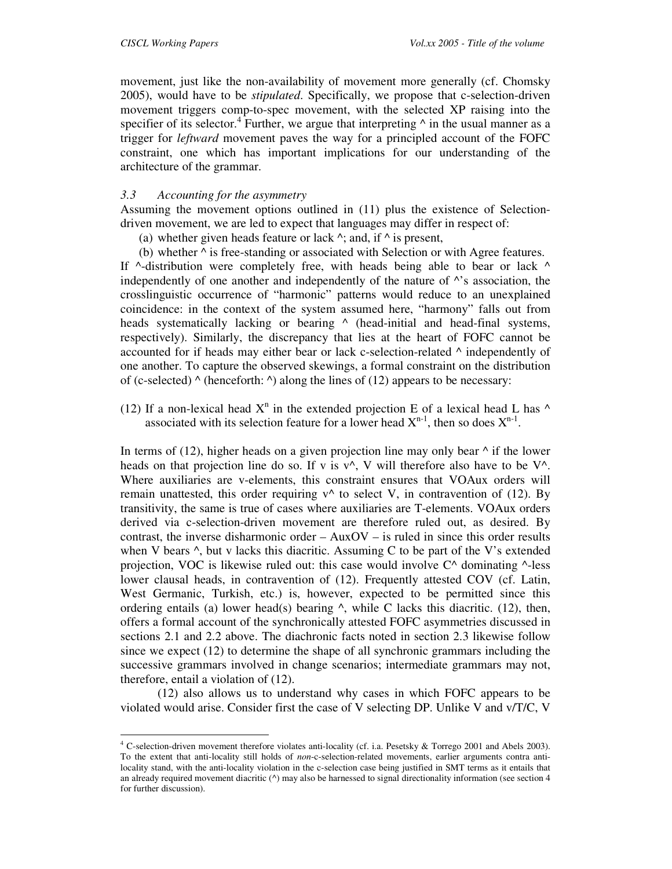movement, just like the non-availability of movement more generally (cf. Chomsky 2005), would have to be *stipulated*. Specifically, we propose that c-selection-driven movement triggers comp-to-spec movement, with the selected XP raising into the specifier of its selector.<sup>4</sup> Further, we argue that interpreting  $\wedge$  in the usual manner as a trigger for *leftward* movement paves the way for a principled account of the FOFC constraint, one which has important implications for our understanding of the architecture of the grammar.

# *3.3 Accounting for the asymmetry*

Assuming the movement options outlined in (11) plus the existence of Selectiondriven movement, we are led to expect that languages may differ in respect of:

(a) whether given heads feature or lack  $\wedge$ ; and, if  $\wedge$  is present,

(b) whether  $\wedge$  is free-standing or associated with Selection or with Agree features. If  $\wedge$ -distribution were completely free, with heads being able to bear or lack  $\wedge$ independently of one another and independently of the nature of  $\wedge$ 's association, the crosslinguistic occurrence of "harmonic" patterns would reduce to an unexplained coincidence: in the context of the system assumed here, "harmony" falls out from heads systematically lacking or bearing  $\wedge$  (head-initial and head-final systems, respectively). Similarly, the discrepancy that lies at the heart of FOFC cannot be accounted for if heads may either bear or lack c-selection-related  $\land$  independently of one another. To capture the observed skewings, a formal constraint on the distribution of (c-selected) ^ (henceforth: *^*) along the lines of (12) appears to be necessary:

(12) If a non-lexical head  $X<sup>n</sup>$  in the extended projection E of a lexical head L has  $\wedge$ associated with its selection feature for a lower head  $X^{n-1}$ , then so does  $X^{n-1}$ .

In terms of (12), higher heads on a given projection line may only bear  $\wedge$  if the lower heads on that projection line do so. If v is  $v^{\wedge}$ , V will therefore also have to be V $^{\wedge}$ . Where auxiliaries are v-elements, this constraint ensures that VOAux orders will remain unattested, this order requiring  $v^{\wedge}$  to select V, in contravention of (12). By transitivity, the same is true of cases where auxiliaries are T-elements. VOAux orders derived via c-selection-driven movement are therefore ruled out, as desired. By contrast, the inverse disharmonic order – AuxOV – is ruled in since this order results when V bears  $\wedge$ , but v lacks this diacritic. Assuming C to be part of the V's extended projection, VOC is likewise ruled out: this case would involve  $C^{\wedge}$  dominating  $^{\wedge}$ -less lower clausal heads, in contravention of (12). Frequently attested COV (cf. Latin, West Germanic, Turkish, etc.) is, however, expected to be permitted since this ordering entails (a) lower head(s) bearing  $\gamma$ , while C lacks this diacritic. (12), then, offers a formal account of the synchronically attested FOFC asymmetries discussed in sections 2.1 and 2.2 above. The diachronic facts noted in section 2.3 likewise follow since we expect (12) to determine the shape of all synchronic grammars including the successive grammars involved in change scenarios; intermediate grammars may not, therefore, entail a violation of (12).

 (12) also allows us to understand why cases in which FOFC appears to be violated would arise. Consider first the case of V selecting DP. Unlike V and v/T/C, V

<sup>4&</sup>lt;br><sup>4</sup> C-selection-driven movement therefore violates anti-locality (cf. i.a. Pesetsky & Torrego 2001 and Abels 2003). To the extent that anti-locality still holds of *non*-c-selection-related movements, earlier arguments contra antilocality stand, with the anti-locality violation in the c-selection case being justified in SMT terms as it entails that an already required movement diacritic ( $\land$ ) may also be harnessed to signal directionality information (see section 4 for further discussion).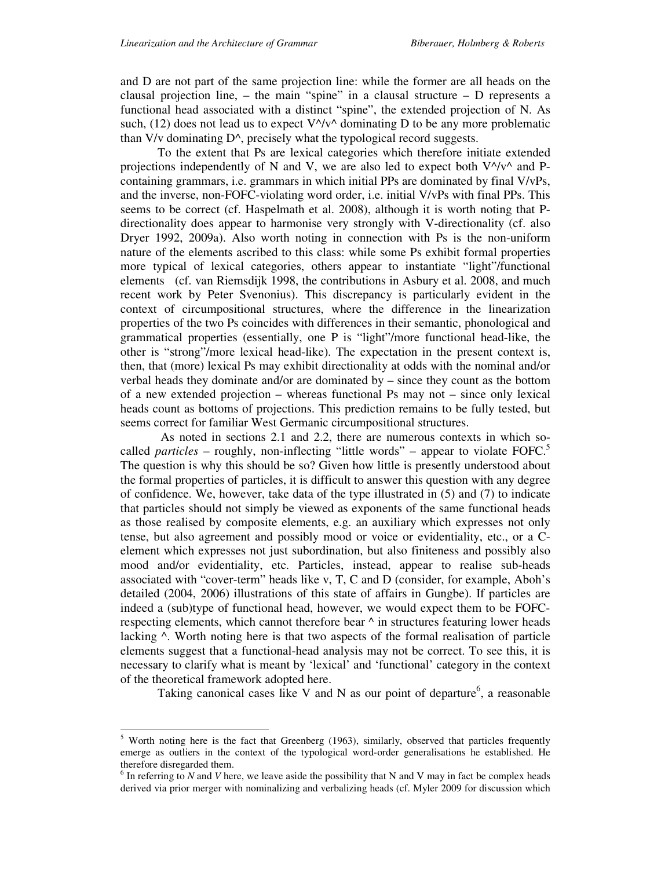and D are not part of the same projection line: while the former are all heads on the clausal projection line,  $-$  the main "spine" in a clausal structure  $-$  D represents a functional head associated with a distinct "spine", the extended projection of N. As such, (12) does not lead us to expect  $V^{\wedge}/v^{\wedge}$  dominating D to be any more problematic than V/v dominating D^, precisely what the typological record suggests.

To the extent that Ps are lexical categories which therefore initiate extended projections independently of N and V, we are also led to expect both  $V^{\wedge}/v^{\wedge}$  and Pcontaining grammars, i.e. grammars in which initial PPs are dominated by final V/vPs, and the inverse, non-FOFC-violating word order, i.e. initial V/vPs with final PPs. This seems to be correct (cf. Haspelmath et al. 2008), although it is worth noting that Pdirectionality does appear to harmonise very strongly with V-directionality (cf. also Dryer 1992, 2009a). Also worth noting in connection with Ps is the non-uniform nature of the elements ascribed to this class: while some Ps exhibit formal properties more typical of lexical categories, others appear to instantiate "light"/functional elements (cf. van Riemsdijk 1998, the contributions in Asbury et al. 2008, and much recent work by Peter Svenonius). This discrepancy is particularly evident in the context of circumpositional structures, where the difference in the linearization properties of the two Ps coincides with differences in their semantic, phonological and grammatical properties (essentially, one P is "light"/more functional head-like, the other is "strong"/more lexical head-like). The expectation in the present context is, then, that (more) lexical Ps may exhibit directionality at odds with the nominal and/or verbal heads they dominate and/or are dominated by – since they count as the bottom of a new extended projection – whereas functional Ps may not – since only lexical heads count as bottoms of projections. This prediction remains to be fully tested, but seems correct for familiar West Germanic circumpositional structures.

 As noted in sections 2.1 and 2.2, there are numerous contexts in which socalled *particles* – roughly, non-inflecting "little words" – appear to violate FOFC.<sup>5</sup> The question is why this should be so? Given how little is presently understood about the formal properties of particles, it is difficult to answer this question with any degree of confidence. We, however, take data of the type illustrated in (5) and (7) to indicate that particles should not simply be viewed as exponents of the same functional heads as those realised by composite elements, e.g. an auxiliary which expresses not only tense, but also agreement and possibly mood or voice or evidentiality, etc., or a Celement which expresses not just subordination, but also finiteness and possibly also mood and/or evidentiality, etc. Particles, instead, appear to realise sub-heads associated with "cover-term" heads like v, T, C and D (consider, for example, Aboh's detailed (2004, 2006) illustrations of this state of affairs in Gungbe). If particles are indeed a (sub)type of functional head, however, we would expect them to be FOFCrespecting elements, which cannot therefore bear  $\wedge$  in structures featuring lower heads lacking ^. Worth noting here is that two aspects of the formal realisation of particle elements suggest that a functional-head analysis may not be correct. To see this, it is necessary to clarify what is meant by 'lexical' and 'functional' category in the context of the theoretical framework adopted here.

Taking canonical cases like V and N as our point of departure<sup>6</sup>, a reasonable

-

<sup>&</sup>lt;sup>5</sup> Worth noting here is the fact that Greenberg (1963), similarly, observed that particles frequently emerge as outliers in the context of the typological word-order generalisations he established. He therefore disregarded them.

 $6$  In referring to *N* and *V* here, we leave aside the possibility that N and V may in fact be complex heads derived via prior merger with nominalizing and verbalizing heads (cf. Myler 2009 for discussion which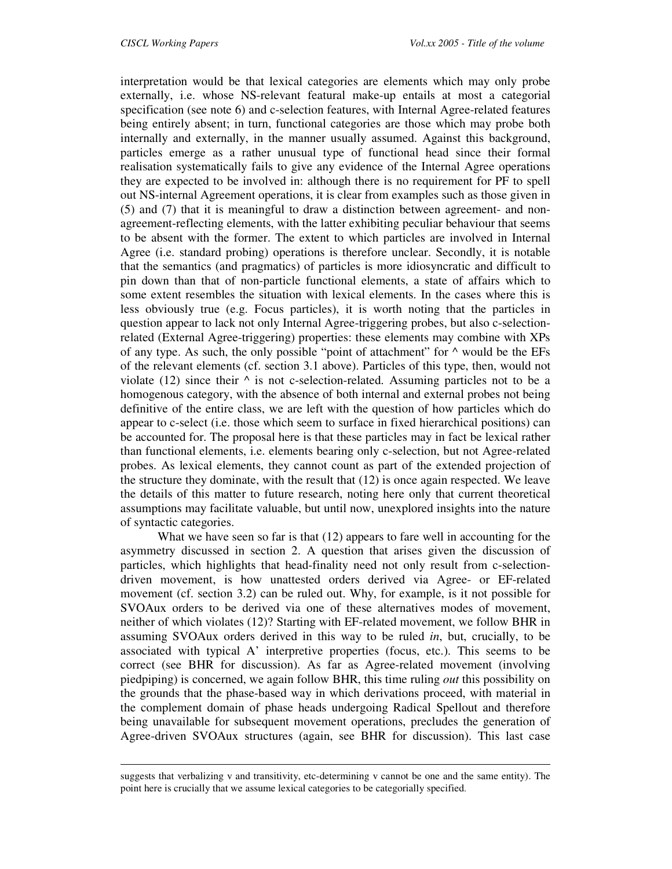-

interpretation would be that lexical categories are elements which may only probe externally, i.e. whose NS-relevant featural make-up entails at most a categorial specification (see note 6) and c-selection features, with Internal Agree-related features being entirely absent; in turn, functional categories are those which may probe both internally and externally, in the manner usually assumed. Against this background, particles emerge as a rather unusual type of functional head since their formal realisation systematically fails to give any evidence of the Internal Agree operations they are expected to be involved in: although there is no requirement for PF to spell out NS-internal Agreement operations, it is clear from examples such as those given in (5) and (7) that it is meaningful to draw a distinction between agreement- and nonagreement-reflecting elements, with the latter exhibiting peculiar behaviour that seems to be absent with the former. The extent to which particles are involved in Internal Agree (i.e. standard probing) operations is therefore unclear. Secondly, it is notable that the semantics (and pragmatics) of particles is more idiosyncratic and difficult to pin down than that of non-particle functional elements, a state of affairs which to some extent resembles the situation with lexical elements. In the cases where this is less obviously true (e.g. Focus particles), it is worth noting that the particles in question appear to lack not only Internal Agree-triggering probes, but also c-selectionrelated (External Agree-triggering) properties: these elements may combine with XPs of any type. As such, the only possible "point of attachment" for  $\wedge$  would be the EFs of the relevant elements (cf. section 3.1 above). Particles of this type, then, would not violate (12) since their  $\wedge$  is not c-selection-related. Assuming particles not to be a homogenous category, with the absence of both internal and external probes not being definitive of the entire class, we are left with the question of how particles which do appear to c-select (i.e. those which seem to surface in fixed hierarchical positions) can be accounted for. The proposal here is that these particles may in fact be lexical rather than functional elements, i.e. elements bearing only c-selection, but not Agree-related probes. As lexical elements, they cannot count as part of the extended projection of the structure they dominate, with the result that  $(12)$  is once again respected. We leave the details of this matter to future research, noting here only that current theoretical assumptions may facilitate valuable, but until now, unexplored insights into the nature of syntactic categories.

 What we have seen so far is that (12) appears to fare well in accounting for the asymmetry discussed in section 2. A question that arises given the discussion of particles, which highlights that head-finality need not only result from c-selectiondriven movement, is how unattested orders derived via Agree- or EF-related movement (cf. section 3.2) can be ruled out. Why, for example, is it not possible for SVOAux orders to be derived via one of these alternatives modes of movement, neither of which violates (12)? Starting with EF-related movement, we follow BHR in assuming SVOAux orders derived in this way to be ruled *in*, but, crucially, to be associated with typical A' interpretive properties (focus, etc.). This seems to be correct (see BHR for discussion). As far as Agree-related movement (involving piedpiping) is concerned, we again follow BHR, this time ruling *out* this possibility on the grounds that the phase-based way in which derivations proceed, with material in the complement domain of phase heads undergoing Radical Spellout and therefore being unavailable for subsequent movement operations, precludes the generation of Agree-driven SVOAux structures (again, see BHR for discussion). This last case

suggests that verbalizing v and transitivity, etc-determining v cannot be one and the same entity). The point here is crucially that we assume lexical categories to be categorially specified.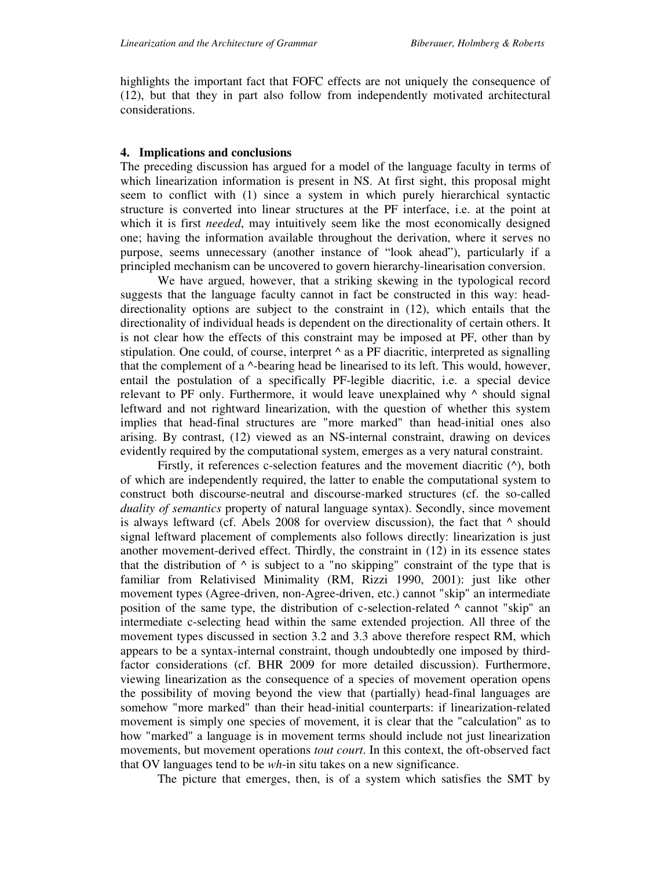highlights the important fact that FOFC effects are not uniquely the consequence of (12), but that they in part also follow from independently motivated architectural considerations.

# **4. Implications and conclusions**

The preceding discussion has argued for a model of the language faculty in terms of which linearization information is present in NS. At first sight, this proposal might seem to conflict with (1) since a system in which purely hierarchical syntactic structure is converted into linear structures at the PF interface, i.e. at the point at which it is first *needed*, may intuitively seem like the most economically designed one; having the information available throughout the derivation, where it serves no purpose, seems unnecessary (another instance of "look ahead"), particularly if a principled mechanism can be uncovered to govern hierarchy-linearisation conversion.

We have argued, however, that a striking skewing in the typological record suggests that the language faculty cannot in fact be constructed in this way: headdirectionality options are subject to the constraint in (12), which entails that the directionality of individual heads is dependent on the directionality of certain others. It is not clear how the effects of this constraint may be imposed at PF, other than by stipulation. One could, of course, interpret  $\wedge$  as a PF diacritic, interpreted as signalling that the complement of a ^-bearing head be linearised to its left. This would, however, entail the postulation of a specifically PF-legible diacritic, i.e. a special device relevant to PF only. Furthermore, it would leave unexplained why ^ should signal leftward and not rightward linearization, with the question of whether this system implies that head-final structures are "more marked" than head-initial ones also arising. By contrast, (12) viewed as an NS-internal constraint, drawing on devices evidently required by the computational system, emerges as a very natural constraint.

Firstly, it references c-selection features and the movement diacritic  $(^{\wedge})$ , both of which are independently required, the latter to enable the computational system to construct both discourse-neutral and discourse-marked structures (cf. the so-called *duality of semantics* property of natural language syntax). Secondly, since movement is always leftward (cf. Abels 2008 for overview discussion), the fact that  $\wedge$  should signal leftward placement of complements also follows directly: linearization is just another movement-derived effect. Thirdly, the constraint in (12) in its essence states that the distribution of  $\wedge$  is subject to a "no skipping" constraint of the type that is familiar from Relativised Minimality (RM, Rizzi 1990, 2001): just like other movement types (Agree-driven, non-Agree-driven, etc.) cannot "skip" an intermediate position of the same type, the distribution of c-selection-related ^ cannot "skip" an intermediate c-selecting head within the same extended projection. All three of the movement types discussed in section 3.2 and 3.3 above therefore respect RM, which appears to be a syntax-internal constraint, though undoubtedly one imposed by thirdfactor considerations (cf. BHR 2009 for more detailed discussion). Furthermore, viewing linearization as the consequence of a species of movement operation opens the possibility of moving beyond the view that (partially) head-final languages are somehow "more marked" than their head-initial counterparts: if linearization-related movement is simply one species of movement, it is clear that the "calculation" as to how "marked" a language is in movement terms should include not just linearization movements, but movement operations *tout court*. In this context, the oft-observed fact that OV languages tend to be *wh*-in situ takes on a new significance.

The picture that emerges, then, is of a system which satisfies the SMT by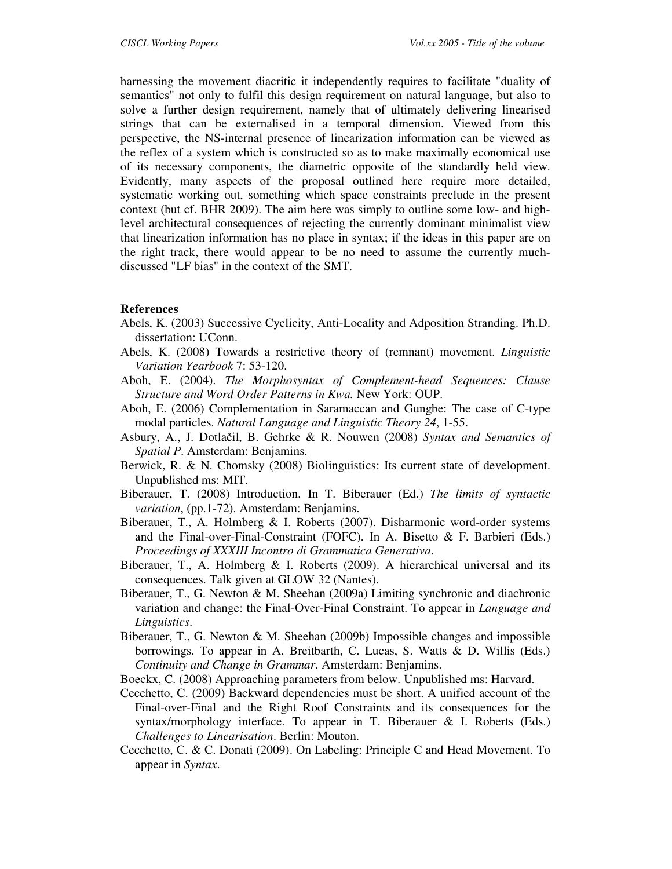harnessing the movement diacritic it independently requires to facilitate "duality of semantics" not only to fulfil this design requirement on natural language, but also to solve a further design requirement, namely that of ultimately delivering linearised strings that can be externalised in a temporal dimension. Viewed from this perspective, the NS-internal presence of linearization information can be viewed as the reflex of a system which is constructed so as to make maximally economical use of its necessary components, the diametric opposite of the standardly held view. Evidently, many aspects of the proposal outlined here require more detailed, systematic working out, something which space constraints preclude in the present context (but cf. BHR 2009). The aim here was simply to outline some low- and highlevel architectural consequences of rejecting the currently dominant minimalist view that linearization information has no place in syntax; if the ideas in this paper are on the right track, there would appear to be no need to assume the currently muchdiscussed "LF bias" in the context of the SMT.

# **References**

- Abels, K. (2003) Successive Cyclicity, Anti-Locality and Adposition Stranding. Ph.D. dissertation: UConn.
- Abels, K. (2008) Towards a restrictive theory of (remnant) movement. *Linguistic Variation Yearbook* 7: 53-120.
- Aboh, E. (2004). *The Morphosyntax of Complement-head Sequences: Clause Structure and Word Order Patterns in Kwa.* New York: OUP.
- Aboh, E. (2006) Complementation in Saramaccan and Gungbe: The case of C-type modal particles. *Natural Language and Linguistic Theory 24*, 1-55.
- Asbury, A., J. Dotlačil, B. Gehrke & R. Nouwen (2008) *Syntax and Semantics of Spatial P*. Amsterdam: Benjamins.
- Berwick, R. & N. Chomsky (2008) Biolinguistics: Its current state of development. Unpublished ms: MIT.
- Biberauer, T. (2008) Introduction. In T. Biberauer (Ed.) *The limits of syntactic variation*, (pp.1-72). Amsterdam: Benjamins.
- Biberauer, T., A. Holmberg & I. Roberts (2007). Disharmonic word-order systems and the Final-over-Final-Constraint (FOFC). In A. Bisetto & F. Barbieri (Eds.) *Proceedings of XXXIII Incontro di Grammatica Generativa*.
- Biberauer, T., A. Holmberg  $\&$  I. Roberts (2009). A hierarchical universal and its consequences. Talk given at GLOW 32 (Nantes).
- Biberauer, T., G. Newton & M. Sheehan (2009a) Limiting synchronic and diachronic variation and change: the Final-Over-Final Constraint. To appear in *Language and Linguistics*.
- Biberauer, T., G. Newton & M. Sheehan (2009b) Impossible changes and impossible borrowings. To appear in A. Breitbarth, C. Lucas, S. Watts & D. Willis (Eds.) *Continuity and Change in Grammar*. Amsterdam: Benjamins.
- Boeckx, C. (2008) Approaching parameters from below. Unpublished ms: Harvard.
- Cecchetto, C. (2009) Backward dependencies must be short. A unified account of the Final-over-Final and the Right Roof Constraints and its consequences for the syntax/morphology interface. To appear in T. Biberauer & I. Roberts (Eds.) *Challenges to Linearisation*. Berlin: Mouton.
- Cecchetto, C. & C. Donati (2009). On Labeling: Principle C and Head Movement. To appear in *Syntax*.